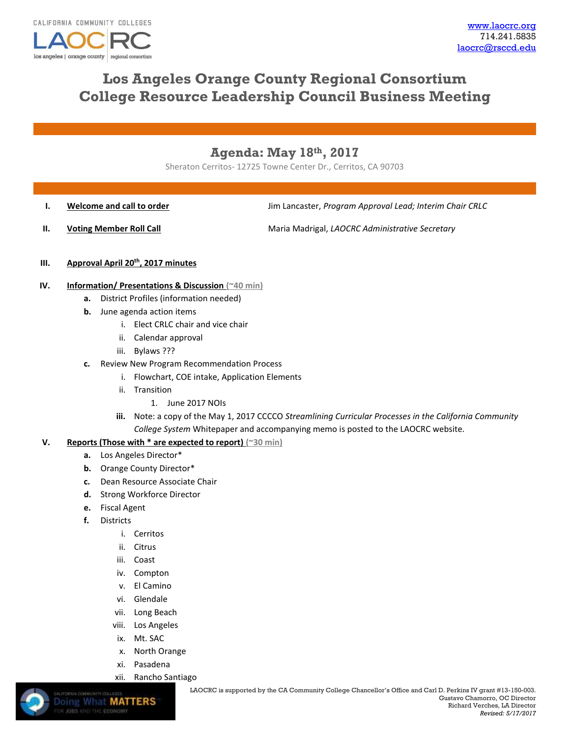

# **Los Angeles Orange County Regional Consortium College Resource Leadership Council Business Meeting**

## **Agenda: May 18th, 2017**

Sheraton Cerritos- 12725 Towne Center Dr., Cerritos, CA 90703

**I. Welcome and call to order I. I. Jim Lancaster,** *Program Approval Lead; Interim Chair CRLC* 

**II. Voting Member Roll Call Maria Madrigal,** *LAOCRC Administrative Secretary* 

#### **III. Approval April 20th, 2017 minutes**

- **IV. Information/ Presentations & Discussion (~40 min)**
	- **a.** District Profiles (information needed)
	- **b.** June agenda action items
		- i. Elect CRLC chair and vice chair
		- ii. Calendar approval
		- iii. Bylaws ???
	- **c.** Review New Program Recommendation Process
		- i. Flowchart, COE intake, Application Elements
		- ii. Transition
			- 1. June 2017 NOIs
		- **iii.** Note: a copy of the May 1, 2017 CCCCO *Streamlining Curricular Processes in the California Community College System* Whitepaper and accompanying memo is posted to the LAOCRC website.

### **V. Reports (Those with \* are expected to report) (~30 min)**

- **a.** Los Angeles Director\*
- **b.** Orange County Director\*
- **c.** Dean Resource Associate Chair
- **d.** Strong Workforce Director
- **e.** Fiscal Agent
- **f.** Districts

**Doing What MATTERS** 

- i. Cerritos
- ii. Citrus
- iii. Coast
- iv. Compton
- v. El Camino
- vi. Glendale
- vii. Long Beach
- viii. Los Angeles
- ix. Mt. SAC
- x. North Orange
- xi. Pasadena
- xii. Rancho Santiago